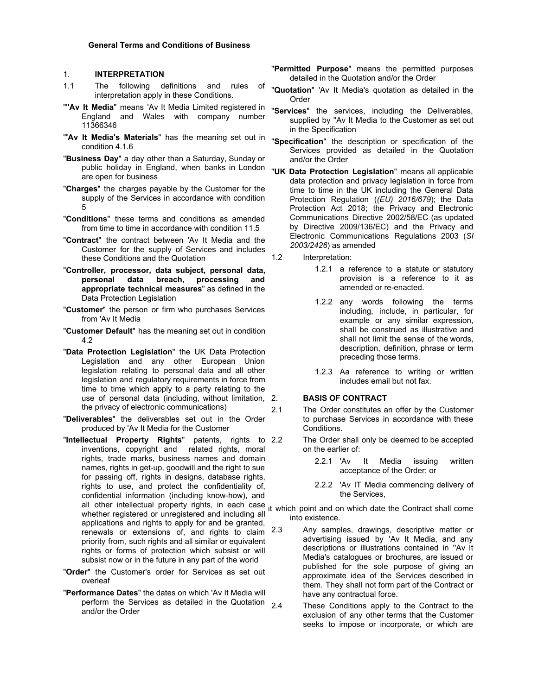#### 1. **INTERPRETATION**

- 1.1 The following definitions and rules of interpretation apply in these Conditions.
- "'**'Av It Media**" means 'Av It Media Limited registered in England and Wales with company number 11366346
- "**'Av It Media's Materials**" has the meaning set out in condition 4.1.6
- "**Business Day**" a day other than a Saturday, Sunday or public holiday in England, when banks in London are open for business
- "**Charges**" the charges payable by the Customer for the supply of the Services in accordance with condition 5
- "**Conditions**" these terms and conditions as amended from time to time in accordance with condition 11.5
- "**Contract**" the contract between 'Av It Media and the Customer for the supply of Services and includes these Conditions and the Quotation
- "**Controller, processor, data subject, personal data, personal data breach, processing and appropriate technical measures**" as defined in the Data Protection Legislation
- "**Customer**" the person or firm who purchases Services from 'Av It Media
- "**Customer Default**" has the meaning set out in condition 4.2
- "**Data Protection Legislation**" the UK Data Protection Legislation and any other European Union legislation relating to personal data and all other legislation and regulatory requirements in force from time to time which apply to a party relating to the use of personal data (including, without limitation, the privacy of electronic communications)
- "**Deliverables**" the deliverables set out in the Order produced by 'Av It Media for the Customer
- "**Intellectual Property Rights**" patents, rights to inventions, copyright and related rights, moral rights, trade marks, business names and domain names, rights in get-up, goodwill and the right to sue for passing off, rights in designs, database rights, rights to use, and protect the confidentiality of, confidential information (including know-how), and all other intellectual property rights, in each case it which point and on which date the Contract shall come whether registered or unregistered and including all applications and rights to apply for and be granted, renewals or extensions of, and rights to claim  $2.3$ priority from, such rights and all similar or equivalent rights or forms of protection which subsist or will subsist now or in the future in any part of the world
- "**Order**" the Customer's order for Services as set out overleaf
- "**Performance Dates**" the dates on which 'Av It Media will perform the Services as detailed in the Quotation  $2.4$ and/or the Order
- "**Permitted Purpose**" means the permitted purposes detailed in the Quotation and/or the Order
- "**Quotation**" 'Av It Media's quotation as detailed in the Order
- "**Services**" the services, including the Deliverables, supplied by ''Av It Media to the Customer as set out in the Specification
- "**Specification**" the description or specification of the Services provided as detailed in the Quotation and/or the Order
- "**UK Data Protection Legislation**" means all applicable data protection and privacy legislation in force from time to time in the UK including the General Data Protection Regulation (*(EU) 2016/679*); the Data Protection Act 2018; the Privacy and Electronic Communications Directive 2002/58/EC (as updated by Directive 2009/136/EC) and the Privacy and Electronic Communications Regulations 2003 (*SI 2003/2426*) as amended
- 1.2 Interpretation:
	- 1.2.1 a reference to a statute or statutory provision is a reference to it as amended or re-enacted.
	- 1.2.2 any words following the terms including, include, in particular, for example or any similar expression, shall be construed as illustrative and shall not limit the sense of the words, description, definition, phrase or term preceding those terms.
	- 1.2.3 Aa reference to writing or written includes email but not fax.

#### 2. **BASIS OF CONTRACT**

- 2.1 The Order constitutes an offer by the Customer to purchase Services in accordance with these Conditions.
	- The Order shall only be deemed to be accepted on the earlier of:
		- 2.2.1 'Av It Media issuing written acceptance of the Order; or
		- 2.2.2 'Av IT Media commencing delivery of the Services,

into existence.

- Any samples, drawings, descriptive matter or advertising issued by 'Av It Media, and any descriptions or illustrations contained in ''Av It Media's catalogues or brochures, are issued or published for the sole purpose of giving an approximate idea of the Services described in them. They shall not form part of the Contract or have any contractual force.
	- These Conditions apply to the Contract to the exclusion of any other terms that the Customer seeks to impose or incorporate, or which are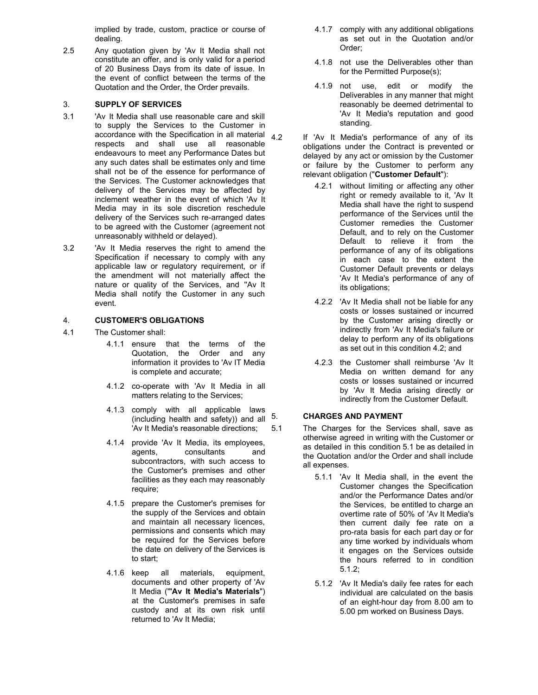implied by trade, custom, practice or course of dealing.

2.5 Any quotation given by 'Av It Media shall not constitute an offer, and is only valid for a period of 20 Business Days from its date of issue. In the event of conflict between the terms of the Quotation and the Order, the Order prevails.

## 3. **SUPPLY OF SERVICES**

- 3.1 'Av It Media shall use reasonable care and skill to supply the Services to the Customer in  $\frac{1}{4.2}$  accordance with the Specification in all material  $\frac{4.2}{4.2}$ respects and shall use all reasonable endeavours to meet any Performance Dates but any such dates shall be estimates only and time shall not be of the essence for performance of the Services. The Customer acknowledges that delivery of the Services may be affected by inclement weather in the event of which 'Av It Media may in its sole discretion reschedule delivery of the Services such re-arranged dates to be agreed with the Customer (agreement not unreasonably withheld or delayed).
- 3.2 'Av It Media reserves the right to amend the Specification if necessary to comply with any applicable law or regulatory requirement, or if the amendment will not materially affect the nature or quality of the Services, and ''Av It Media shall notify the Customer in any such event.

# 4. **CUSTOMER'S OBLIGATIONS**

- 4.1 The Customer shall:
	- 4.1.1 ensure that the terms of the Quotation, the Order and any information it provides to 'Av IT Media is complete and accurate;
	- 4.1.2 co-operate with 'Av It Media in all matters relating to the Services;
	- 4.1.3 comply with all applicable laws (including health and safety)) and all 'Av It Media's reasonable directions;
	- 4.1.4 provide 'Av It Media, its employees, agents, consultants and subcontractors, with such access to the Customer's premises and other facilities as they each may reasonably require;
	- 4.1.5 prepare the Customer's premises for the supply of the Services and obtain and maintain all necessary licences, permissions and consents which may be required for the Services before the date on delivery of the Services is to start;
	- 4.1.6 keep all materials, equipment, documents and other property of 'Av It Media ("**'Av It Media's Materials**") at the Customer's premises in safe custody and at its own risk until returned to 'Av It Media;
- 4.1.7 comply with any additional obligations as set out in the Quotation and/or Order;
- 4.1.8 not use the Deliverables other than for the Permitted Purpose(s);
- 4.1.9 not use, edit or modify the Deliverables in any manner that might reasonably be deemed detrimental to 'Av It Media's reputation and good standing.
- If 'Av It Media's performance of any of its obligations under the Contract is prevented or delayed by any act or omission by the Customer or failure by the Customer to perform any relevant obligation ("**Customer Default**"):
	- 4.2.1 without limiting or affecting any other right or remedy available to it, 'Av It Media shall have the right to suspend performance of the Services until the Customer remedies the Customer Default, and to rely on the Customer Default to relieve it from the performance of any of its obligations in each case to the extent the Customer Default prevents or delays 'Av It Media's performance of any of its obligations;
	- 4.2.2 'Av It Media shall not be liable for any costs or losses sustained or incurred by the Customer arising directly or indirectly from 'Av It Media's failure or delay to perform any of its obligations as set out in this condition 4.2; and
	- 4.2.3 the Customer shall reimburse 'Av It Media on written demand for any costs or losses sustained or incurred by 'Av It Media arising directly or indirectly from the Customer Default.

# 5. **CHARGES AND PAYMENT**

5.1 The Charges for the Services shall, save as otherwise agreed in writing with the Customer or as detailed in this condition 5.1 be as detailed in the Quotation and/or the Order and shall include all expenses.

- 5.1.1 'Av It Media shall, in the event the Customer changes the Specification and/or the Performance Dates and/or the Services, be entitled to charge an overtime rate of 50% of 'Av It Media's then current daily fee rate on a pro-rata basis for each part day or for any time worked by individuals whom it engages on the Services outside the hours referred to in condition 5.1.2;
- 5.1.2 'Av It Media's daily fee rates for each individual are calculated on the basis of an eight-hour day from 8.00 am to 5.00 pm worked on Business Days.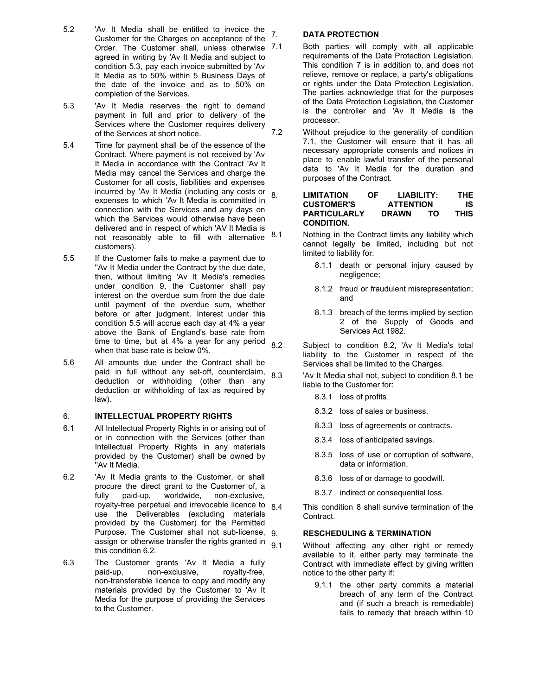- 5.2 'Av It Media shall be entitled to invoice the Customer for the Charges on acceptance of the Order. The Customer shall, unless otherwise 7.1 agreed in writing by 'Av It Media and subject to condition 5.3, pay each invoice submitted by 'Av It Media as to 50% within 5 Business Days of the date of the invoice and as to 50% on completion of the Services.
- 5.3 'Av It Media reserves the right to demand payment in full and prior to delivery of the Services where the Customer requires delivery of the Services at short notice.
- 5.4 Time for payment shall be of the essence of the Contract. Where payment is not received by 'Av It Media in accordance with the Contract 'Av It Media may cancel the Services and charge the Customer for all costs, liabilities and expenses incurred by 'Av It Media (including any costs or expenses to which 'Av It Media is committed in connection with the Services and any days on which the Services would otherwise have been delivered and in respect of which 'AV It Media is not reasonably able to fill with alternative 8.1 customers).
- 5.5 If the Customer fails to make a payment due to "Av It Media under the Contract by the due date, then, without limiting 'Av It Media's remedies under condition 9, the Customer shall pay interest on the overdue sum from the due date until payment of the overdue sum, whether before or after judgment. Interest under this condition 5.5 will accrue each day at 4% a year above the Bank of England's base rate from time to time, but at  $4\%$  a year for any period  $8.2$ when that base rate is below 0%.
- 5.6 All amounts due under the Contract shall be paid in full without any set-off, counterclaim,  $8.3$ deduction or withholding (other than any deduction or withholding of tax as required by law).

## 6. **INTELLECTUAL PROPERTY RIGHTS**

- 6.1 All Intellectual Property Rights in or arising out of or in connection with the Services (other than Intellectual Property Rights in any materials provided by the Customer) shall be owned by ''Av It Media.
- 6.2 'Av It Media grants to the Customer, or shall procure the direct grant to the Customer of, a fully paid-up, worldwide, non-exclusive, rovalty-free perpetual and irrevocable licence to  $8.4$ use the Deliverables (excluding materials provided by the Customer) for the Permitted Purpose. The Customer shall not sub-license, 9 assign or otherwise transfer the rights granted in  $9.1$ this condition 6.2*.*
- 6.3 The Customer grants 'Av It Media a fully paid-up, non-exclusive, royalty-free, non-transferable licence to copy and modify any materials provided by the Customer to 'Av It Media for the purpose of providing the Services to the Customer.

### 7. **DATA PROTECTION**

- Both parties will comply with all applicable requirements of the Data Protection Legislation. This condition 7 is in addition to, and does not relieve, remove or replace, a party's obligations or rights under the Data Protection Legislation. The parties acknowledge that for the purposes of the Data Protection Legislation, the Customer is the controller and 'Av It Media is the processor.
- 7.2 Without prejudice to the generality of condition 7.1, the Customer will ensure that it has all necessary appropriate consents and notices in place to enable lawful transfer of the personal data to 'Av It Media for the duration and purposes of the Contract.
- 8. **LIMITATION OF LIABILITY: THE CUSTOMER'S ATTENTION IS PARTICULARLY DRAWN TO THIS CONDITION.**
	- Nothing in the Contract limits any liability which cannot legally be limited, including but not limited to liability for:
		- 8.1.1 death or personal injury caused by negligence;
		- 8.1.2 fraud or fraudulent misrepresentation; and
		- 8.1.3 breach of the terms implied by section 2 of the Supply of Goods and Services Act 1982.
	- Subject to condition 8.2. 'Ay It Media's total liability to the Customer in respect of the Services shall be limited to the Charges.
	- 'Av It Media shall not, subject to condition 8.1 be liable to the Customer for:
		- 8.3.1 loss of profits
		- 8.3.2 loss of sales or business.
		- 8.3.3 loss of agreements or contracts.
		- 8.3.4 loss of anticipated savings.
		- 8.3.5 loss of use or corruption of software, data or information.
		- 8.3.6 loss of or damage to goodwill.
		- 8.3.7 indirect or consequential loss.
	- This condition 8 shall survive termination of the Contract.

## 9. **RESCHEDULING & TERMINATION**

Without affecting any other right or remedy available to it, either party may terminate the Contract with immediate effect by giving written notice to the other party if:

9.1.1 the other party commits a material breach of any term of the Contract and (if such a breach is remediable) fails to remedy that breach within 10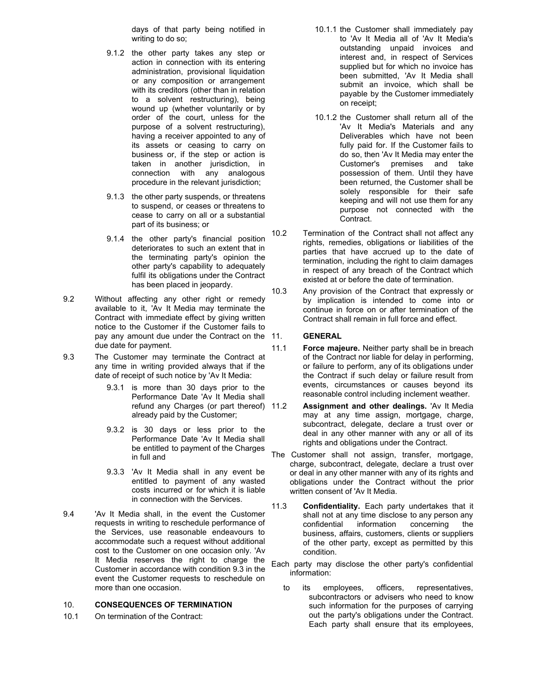days of that party being notified in writing to do so;

- 9.1.2 the other party takes any step or action in connection with its entering administration, provisional liquidation or any composition or arrangement with its creditors (other than in relation to a solvent restructuring), being wound up (whether voluntarily or by order of the court, unless for the purpose of a solvent restructuring), having a receiver appointed to any of its assets or ceasing to carry on business or, if the step or action is taken in another jurisdiction, in connection with any analogous procedure in the relevant jurisdiction;
- 9.1.3 the other party suspends, or threatens to suspend, or ceases or threatens to cease to carry on all or a substantial part of its business; or
- 9.1.4 the other party's financial position deteriorates to such an extent that in the terminating party's opinion the other party's capability to adequately fulfil its obligations under the Contract has been placed in jeopardy.
- 9.2 Without affecting any other right or remedy available to it, 'Av It Media may terminate the Contract with immediate effect by giving written notice to the Customer if the Customer fails to pay any amount due under the Contract on the 11. due date for payment.
- 9.3 The Customer may terminate the Contract at any time in writing provided always that if the date of receipt of such notice by 'Av It Media:
	- 9.3.1 is more than 30 days prior to the Performance Date 'Av It Media shall refund any Charges (or part thereof) 11.2 already paid by the Customer;
	- 9.3.2 is 30 days or less prior to the Performance Date 'Av It Media shall be entitled to payment of the Charges in full and
	- 9.3.3 'Av It Media shall in any event be entitled to payment of any wasted costs incurred or for which it is liable in connection with the Services.
- 9.4 'Av It Media shall, in the event the Customer requests in writing to reschedule performance of the Services, use reasonable endeavours to accommodate such a request without additional cost to the Customer on one occasion only. 'Av It Media reserves the right to charge the Customer in accordance with condition 9.3 in the event the Customer requests to reschedule on more than one occasion.

### 10. **CONSEQUENCES OF TERMINATION**

10.1 On termination of the Contract:

- 10.1.1 the Customer shall immediately pay to 'Av It Media all of 'Av It Media's outstanding unpaid invoices and interest and, in respect of Services supplied but for which no invoice has been submitted, 'Av It Media shall submit an invoice, which shall be payable by the Customer immediately on receipt;
- 10.1.2 the Customer shall return all of the 'Av It Media's Materials and any Deliverables which have not been fully paid for. If the Customer fails to do so, then 'Av It Media may enter the Customer's premises and take possession of them. Until they have been returned, the Customer shall be solely responsible for their safe keeping and will not use them for any purpose not connected with the Contract.
- 10.2 Termination of the Contract shall not affect any rights, remedies, obligations or liabilities of the parties that have accrued up to the date of termination, including the right to claim damages in respect of any breach of the Contract which existed at or before the date of termination.
- 10.3 Any provision of the Contract that expressly or by implication is intended to come into or continue in force on or after termination of the Contract shall remain in full force and effect.

#### 11. **GENERAL**

- 11.1 **Force majeure.** Neither party shall be in breach of the Contract nor liable for delay in performing, or failure to perform, any of its obligations under the Contract if such delay or failure result from events, circumstances or causes beyond its reasonable control including inclement weather.
- **Assignment and other dealings.** 'Av It Media may at any time assign, mortgage, charge, subcontract, delegate, declare a trust over or deal in any other manner with any or all of its rights and obligations under the Contract.
- The Customer shall not assign, transfer, mortgage, charge, subcontract, delegate, declare a trust over or deal in any other manner with any of its rights and obligations under the Contract without the prior written consent of 'Av It Media.
- 11.3 **Confidentiality.** Each party undertakes that it shall not at any time disclose to any person any confidential information concerning the business, affairs, customers, clients or suppliers of the other party, except as permitted by this condition.
- Each party may disclose the other party's confidential information:
	- to its employees, officers, representatives, subcontractors or advisers who need to know such information for the purposes of carrying out the party's obligations under the Contract. Each party shall ensure that its employees,